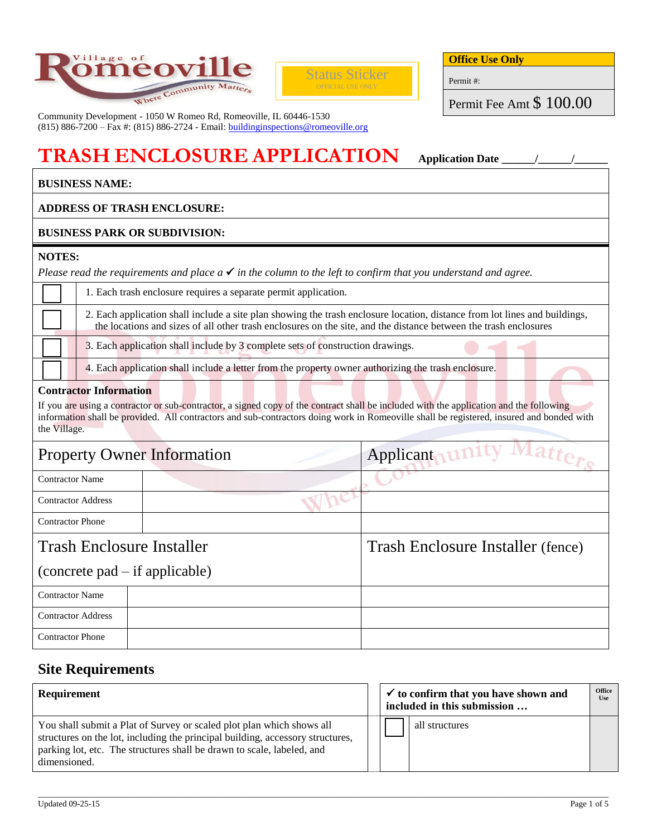



**Office Use Only**

Permit #:

Permit Fee Amt \$ 100.00

Community Development - 1050 W Romeo Rd, Romeoville, IL 60446-1530 (815) 886-7200 – Fax #: (815) 886-2724 - Email: [buildinginspections@romeoville.org](mailto:buildinginspections@romeoville.org)

# **TRASH ENCLOSURE APPLICATION Application Date \_\_\_\_\_\_/\_\_\_\_\_\_/\_\_\_\_\_\_**

# **BUSINESS NAME:**

## **ADDRESS OF TRASH ENCLOSURE:**

### **BUSINESS PARK OR SUBDIVISION:**

#### **NOTES:**

*Please read the requirements and place*  $a \checkmark$  *in the column to the left to confirm that you understand and agree.* 

| 1. Each trash enclosure requires a separate permit application.                                                                                                                                                                                |
|------------------------------------------------------------------------------------------------------------------------------------------------------------------------------------------------------------------------------------------------|
| 2. Each application shall include a site plan showing the trash enclosure location, distance from lot lines and buildings,<br>the locations and sizes of all other trash enclosures on the site, and the distance between the trash enclosures |
| 3. Each application shall include by 3 complete sets of construction drawings.                                                                                                                                                                 |
| 4. Each application shall include a letter from the property owner authorizing the trash enclosure.                                                                                                                                            |

# **Contractor Information**

If you are using a contractor or sub-contractor, a signed copy of the contract shall be included with the application and the following information shall be provided. All contractors and sub-contractors doing work in Romeoville shall be registered, insured and bonded with the Village.

|                                  | <b>Property Owner Information</b> | Applicant unity                   |  |  |
|----------------------------------|-----------------------------------|-----------------------------------|--|--|
| <b>Contractor Name</b>           |                                   |                                   |  |  |
| <b>Contractor Address</b>        |                                   |                                   |  |  |
| <b>Contractor Phone</b>          |                                   |                                   |  |  |
| <b>Trash Enclosure Installer</b> |                                   | Trash Enclosure Installer (fence) |  |  |
| (concrete pad – if applicable)   |                                   |                                   |  |  |
| <b>Contractor Name</b>           |                                   |                                   |  |  |
| <b>Contractor Address</b>        |                                   |                                   |  |  |
| <b>Contractor Phone</b>          |                                   |                                   |  |  |

# **Site Requirements**

| <b>Requirement</b>                                                                                                                                                                                                                                | $\vee$ to confirm that you have shown and<br>included in this submission |  | <b>Office</b><br><b>Use</b> |  |
|---------------------------------------------------------------------------------------------------------------------------------------------------------------------------------------------------------------------------------------------------|--------------------------------------------------------------------------|--|-----------------------------|--|
| You shall submit a Plat of Survey or scaled plot plan which shows all<br>structures on the lot, including the principal building, accessory structures,<br>parking lot, etc. The structures shall be drawn to scale, labeled, and<br>dimensioned. |                                                                          |  | all structures              |  |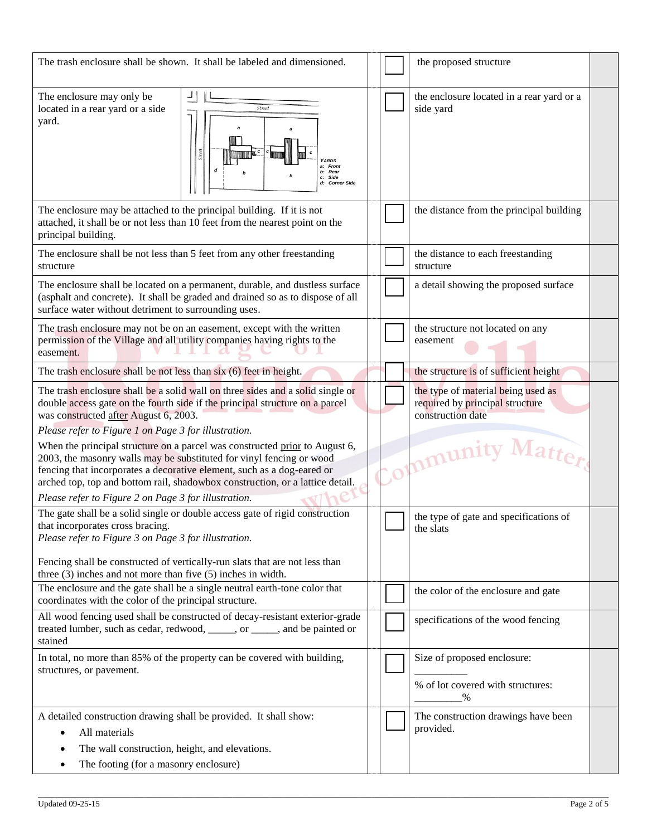| The trash enclosure shall be shown. It shall be labeled and dimensioned.                                                                                                                                                                                                                                                                       |  |  | the proposed structure                                                                     |
|------------------------------------------------------------------------------------------------------------------------------------------------------------------------------------------------------------------------------------------------------------------------------------------------------------------------------------------------|--|--|--------------------------------------------------------------------------------------------|
| The enclosure may only be<br>located in a rear yard or a side<br><b>Street</b><br>yard.<br><b>Stree</b><br><b>ARDS</b><br>Front<br>b: Rear<br>c: Side<br>d: Corner Side                                                                                                                                                                        |  |  | the enclosure located in a rear yard or a<br>side yard                                     |
| The enclosure may be attached to the principal building. If it is not<br>attached, it shall be or not less than 10 feet from the nearest point on the<br>principal building.                                                                                                                                                                   |  |  | the distance from the principal building                                                   |
| The enclosure shall be not less than 5 feet from any other freestanding<br>structure                                                                                                                                                                                                                                                           |  |  | the distance to each freestanding<br>structure                                             |
| The enclosure shall be located on a permanent, durable, and dustless surface<br>(asphalt and concrete). It shall be graded and drained so as to dispose of all<br>surface water without detriment to surrounding uses.                                                                                                                         |  |  | a detail showing the proposed surface                                                      |
| The trash enclosure may not be on an easement, except with the written<br>permission of the Village and all utility companies having rights to the<br>easement.                                                                                                                                                                                |  |  | the structure not located on any<br>easement                                               |
| The trash enclosure shall be not less than six (6) feet in height.                                                                                                                                                                                                                                                                             |  |  | the structure is of sufficient height                                                      |
| The trash enclosure shall be a solid wall on three sides and a solid single or<br>double access gate on the fourth side if the principal structure on a parcel<br>was constructed after August 6, 2003.<br>Please refer to Figure 1 on Page 3 for illustration.<br>When the principal structure on a parcel was constructed prior to August 6, |  |  | the type of material being used as<br>required by principal structure<br>construction date |
| 2003, the masonry walls may be substituted for vinyl fencing or wood<br>fencing that incorporates a decorative element, such as a dog-eared or<br>arched top, top and bottom rail, shadowbox construction, or a lattice detail.<br>Please refer to Figure 2 on Page 3 for illustration.                                                        |  |  | Matter<br>Community                                                                        |
| The gate shall be a solid single or double access gate of rigid construction<br>that incorporates cross bracing.<br>Please refer to Figure 3 on Page 3 for illustration.                                                                                                                                                                       |  |  | the type of gate and specifications of<br>the slats                                        |
| Fencing shall be constructed of vertically-run slats that are not less than<br>three $(3)$ inches and not more than five $(5)$ inches in width.                                                                                                                                                                                                |  |  |                                                                                            |
| The enclosure and the gate shall be a single neutral earth-tone color that<br>coordinates with the color of the principal structure.                                                                                                                                                                                                           |  |  | the color of the enclosure and gate                                                        |
| All wood fencing used shall be constructed of decay-resistant exterior-grade<br>treated lumber, such as cedar, redwood, _____, or ____, and be painted or<br>stained                                                                                                                                                                           |  |  | specifications of the wood fencing                                                         |
| In total, no more than 85% of the property can be covered with building,<br>structures, or pavement.                                                                                                                                                                                                                                           |  |  | Size of proposed enclosure:<br>% of lot covered with structures:<br>$\%$                   |
| A detailed construction drawing shall be provided. It shall show:<br>All materials                                                                                                                                                                                                                                                             |  |  | The construction drawings have been<br>provided.                                           |
| The wall construction, height, and elevations.                                                                                                                                                                                                                                                                                                 |  |  |                                                                                            |
| The footing (for a masonry enclosure)                                                                                                                                                                                                                                                                                                          |  |  |                                                                                            |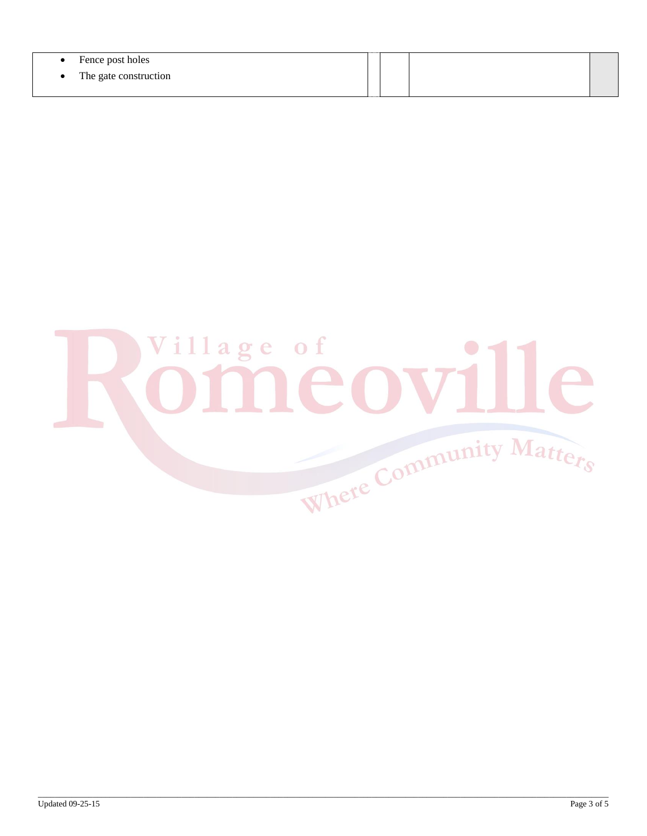| Fence post holes        |  |  |
|-------------------------|--|--|
| • The gate construction |  |  |
|                         |  |  |

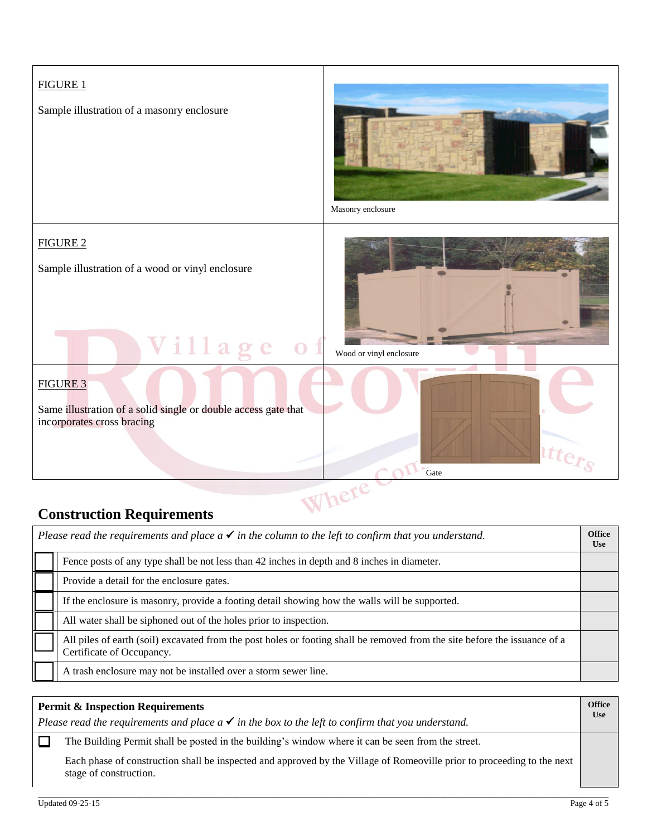

# **Construction Requirements**

| Please read the requirements and place $a \checkmark$ in the column to the left to confirm that you understand. |                                                                                                                                                         |  |  |
|-----------------------------------------------------------------------------------------------------------------|---------------------------------------------------------------------------------------------------------------------------------------------------------|--|--|
|                                                                                                                 | Fence posts of any type shall be not less than 42 inches in depth and 8 inches in diameter.                                                             |  |  |
|                                                                                                                 | Provide a detail for the enclosure gates.                                                                                                               |  |  |
|                                                                                                                 | If the enclosure is masonry, provide a footing detail showing how the walls will be supported.                                                          |  |  |
|                                                                                                                 | All water shall be siphoned out of the holes prior to inspection.                                                                                       |  |  |
|                                                                                                                 | All piles of earth (soil) excavated from the post holes or footing shall be removed from the site before the issuance of a<br>Certificate of Occupancy. |  |  |
|                                                                                                                 | A trash enclosure may not be installed over a storm sewer line.                                                                                         |  |  |

#### **Permit & Inspection Requirements Office Use** *Please read the requirements and place a*  $\checkmark$  *in the box to the left to confirm that you understand.*  $\Box$ The Building Permit shall be posted in the building's window where it can be seen from the street. Each phase of construction shall be inspected and approved by the Village of Romeoville prior to proceeding to the next stage of construction.

\_\_\_\_\_\_\_\_\_\_\_\_\_\_\_\_\_\_\_\_\_\_\_\_\_\_\_\_\_\_\_\_\_\_\_\_\_\_\_\_\_\_\_\_\_\_\_\_\_\_\_\_\_\_\_\_\_\_\_\_\_\_\_\_\_\_\_\_\_\_\_\_\_\_\_\_\_\_\_\_\_\_\_\_\_\_\_\_\_\_\_\_\_\_\_\_\_\_\_\_\_\_\_\_\_\_\_\_\_\_\_\_\_\_\_\_\_\_\_\_\_\_\_\_\_\_\_\_\_\_\_\_\_\_\_